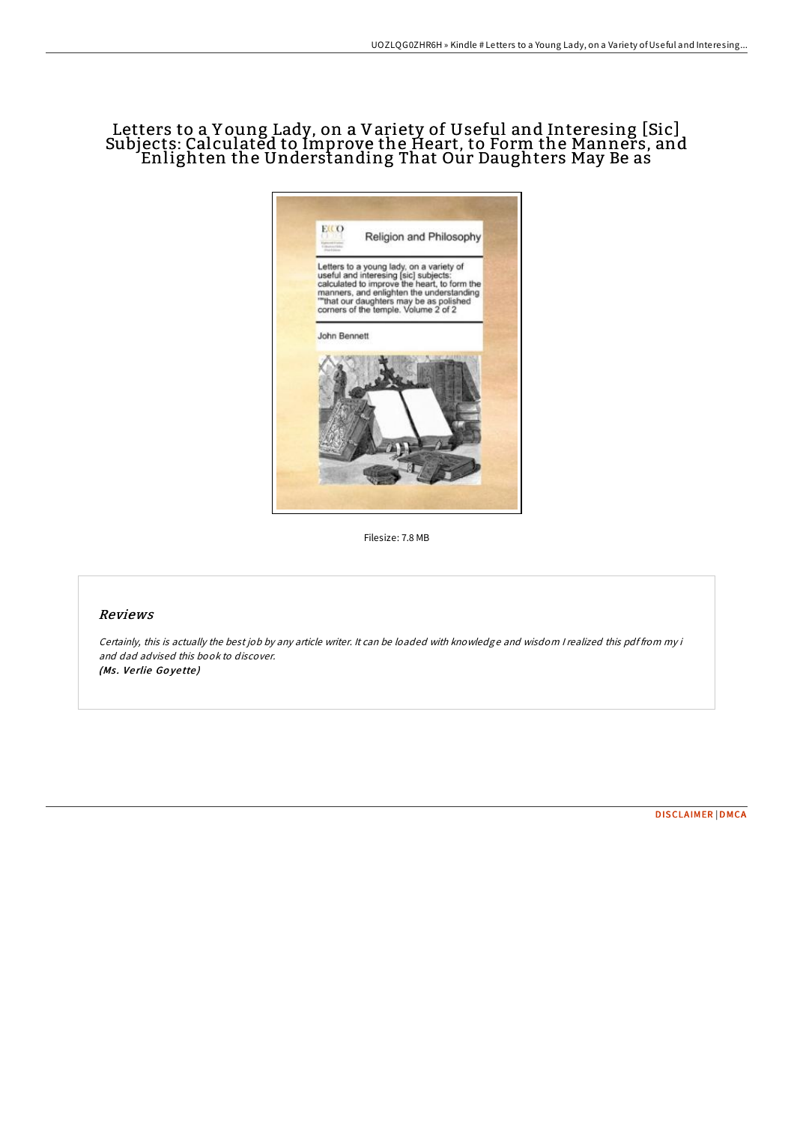# Letters to a Y oung Lady, on a Variety of Useful and Interesing [Sic] Subjects: Calculated to Improve the Heart, to Form the Manners, and Enlighten the Understanding That Our Daughters May Be as



Filesize: 7.8 MB

# Reviews

Certainly, this is actually the best job by any article writer. It can be loaded with knowledge and wisdom <sup>I</sup> realized this pdf from my i and dad advised this book to discover. (Ms. Verlie Goyette)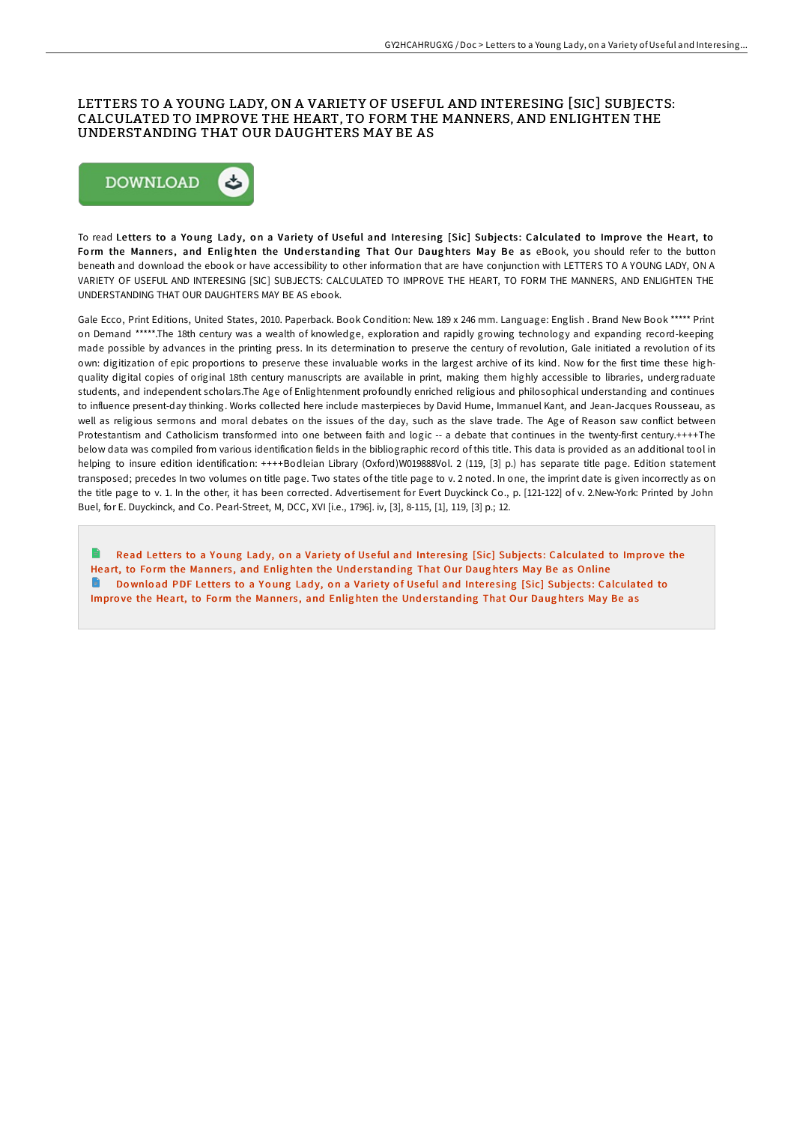# LETTERS TO A YOUNG LADY, ON A VARIETY OF USEFUL AND INTERESING [SIC] SUBJECTS: CALCULATED TO IMPROVE THE HEART, TO FORM THE MANNERS, AND ENLIGHTEN THE UNDERSTANDING THAT OUR DAUGHTERS MAY BE AS



To read Letters to a Young Lady, on a Variety of Useful and Interesing [Sic] Subjects: Calculated to Improve the Heart, to Form the Manners, and Enlighten the Understanding That Our Daughters May Be as eBook, you should refer to the button beneath and download the ebook or have accessibility to other information that are have conjunction with LETTERS TO A YOUNG LADY, ON A VARIETY OF USEFUL AND INTERESING [SIC] SUBJECTS: CALCULATED TO IMPROVE THE HEART, TO FORM THE MANNERS, AND ENLIGHTEN THE UNDERSTANDING THAT OUR DAUGHTERS MAY BE AS ebook.

Gale Ecco, Print Editions, United States, 2010. Paperback. Book Condition: New. 189 x 246 mm. Language: English . Brand New Book \*\*\*\*\* Print on Demand \*\*\*\*\*.The 18th century was a wealth of knowledge, exploration and rapidly growing technology and expanding record-keeping made possible by advances in the printing press. In its determination to preserve the century of revolution, Gale initiated a revolution of its own: digitization of epic proportions to preserve these invaluable works in the largest archive of its kind. Now for the first time these highquality digital copies of original 18th century manuscripts are available in print, making them highly accessible to libraries, undergraduate students, and independent scholars.The Age of Enlightenment profoundly enriched religious and philosophical understanding and continues to influence present-day thinking. Works collected here include masterpieces by David Hume, Immanuel Kant, and Jean-Jacques Rousseau, as well as religious sermons and moral debates on the issues of the day, such as the slave trade. The Age of Reason saw conflict between Protestantism and Catholicism transformed into one between faith and logic -- a debate that continues in the twenty-first century.++++The below data was compiled from various identification fields in the bibliographic record of this title. This data is provided as an additional tool in helping to insure edition identification: ++++Bodleian Library (Oxford)W019888Vol. 2 (119, [3] p.) has separate title page. Edition statement transposed; precedes In two volumes on title page. Two states of the title page to v. 2 noted. In one, the imprint date is given incorrectly as on the title page to v. 1. In the other, it has been corrected. Advertisement for Evert Duyckinck Co., p. [121-122] of v. 2.New-York: Printed by John Buel, for E. Duyckinck, and Co. Pearl-Street, M, DCC, XVI [i.e., 1796]. iv, [3], 8-115, [1], 119, [3] p.; 12.

R Read Letters to a Young Lady, on a Variety of Useful and Interesing [Sic] Subjects: [Calculated](http://almighty24.tech/letters-to-a-young-lady-on-a-variety-of-useful-a-1.html) to Improve the Heart, to Form the Manners, and Enlighten the Understanding That Our Daughters May Be as Online Download PDF Letters to a Young Lady, on a Variety of Useful and Interesing [Sic] Subjects: [Calculated](http://almighty24.tech/letters-to-a-young-lady-on-a-variety-of-useful-a-1.html) to Improve the Heart, to Form the Manners, and Enlighten the Understanding That Our Daughters May Be as